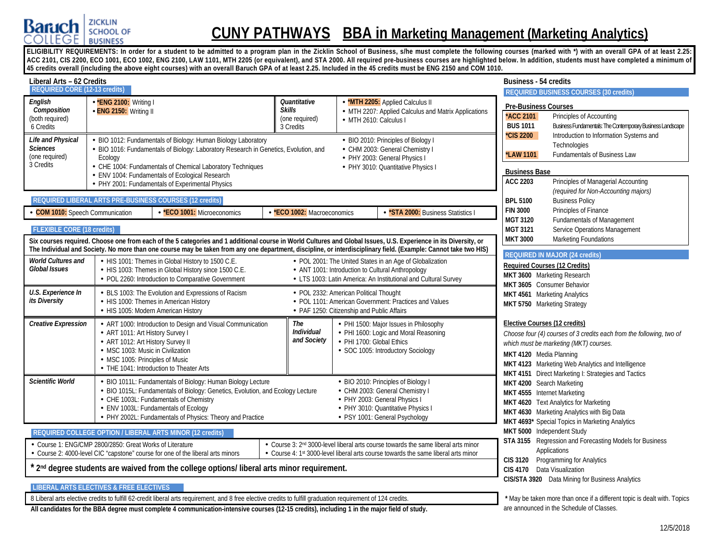

# **CUNY PATHWAYS BBA in Marketing Management (Marketing Analytics)**

ELIGIBILITY REQUIREMENTS: In order for a student to be admitted to a program plan in the Zicklin School of Business, s/he must complete the following courses (marked with \*) with an overall GPA of at least 2.25: **ACC 2101, CIS 2200, ECO 1001, ECO 1002, ENG 2100, LAW 1101, MTH 2205 (or equivalent), and STA 2000. All required pre-business courses are highlighted below. In addition, students must have completed a minimum of 45 credits overall (including the above eight courses) with an overall Baruch GPA of at least 2.25. Included in the 45 credits must be ENG 2150 and COM 1010.**

| Liberal Arts – 62 Credits                                                                                                            |                                                                                                                                             |                                                                                                                                                                                                                                                                                                                                      |                                                              |                                                                                      |                                                                                                                                                                                                                                                                     | <b>Business - 54 credits</b>                                                                                              |                                                                                                                                                                                                                                                           |  |  |
|--------------------------------------------------------------------------------------------------------------------------------------|---------------------------------------------------------------------------------------------------------------------------------------------|--------------------------------------------------------------------------------------------------------------------------------------------------------------------------------------------------------------------------------------------------------------------------------------------------------------------------------------|--------------------------------------------------------------|--------------------------------------------------------------------------------------|---------------------------------------------------------------------------------------------------------------------------------------------------------------------------------------------------------------------------------------------------------------------|---------------------------------------------------------------------------------------------------------------------------|-----------------------------------------------------------------------------------------------------------------------------------------------------------------------------------------------------------------------------------------------------------|--|--|
| <b>REQUIRED CORE (12-13 credits)</b>                                                                                                 |                                                                                                                                             |                                                                                                                                                                                                                                                                                                                                      |                                                              |                                                                                      |                                                                                                                                                                                                                                                                     |                                                                                                                           | <b>REQUIRED BUSINESS COURSES (30 credits)</b>                                                                                                                                                                                                             |  |  |
| English<br>Composition<br>(both required)<br>6 Credits<br><b>Life and Physical</b><br><b>Sciences</b><br>(one required)<br>3 Credits | *ENG 2100: Writing I<br>ENG 2150: Writing II<br>Ecology                                                                                     | BIO 1012: Fundamentals of Biology: Human Biology Laboratory<br>BIO 1016: Fundamentals of Biology: Laboratory Research in Genetics, Evolution, and<br>- CHE 1004: Fundamentals of Chemical Laboratory Techniques                                                                                                                      | Quantitative<br><b>Skills</b><br>(one required)<br>3 Credits |                                                                                      | - *MTH 2205: Applied Calculus II<br>- MTH 2207: Applied Calculus and Matrix Applications<br>· MTH 2610: Calculus I<br>- BIO 2010: Principles of Biology I<br>- CHM 2003: General Chemistry I<br>- PHY 2003: General Physics I<br>- PHY 3010: Quantitative Physics I | <b>Pre-Business Courses</b><br><b>ACC 2101</b><br><b>BUS 1011</b><br>*CIS 2200<br><b>LAW 1101</b><br><b>Business Base</b> | Principles of Accounting<br>Business Fundamentals: The Contemporary Business Landscape<br>Introduction to Information Systems and<br>Technologies<br>Fundamentals of Business Law                                                                         |  |  |
|                                                                                                                                      |                                                                                                                                             | - ENV 1004: Fundamentals of Ecological Research<br>PHY 2001: Fundamentals of Experimental Physics                                                                                                                                                                                                                                    |                                                              |                                                                                      |                                                                                                                                                                                                                                                                     | <b>ACC 2203</b>                                                                                                           | Principles of Managerial Accounting                                                                                                                                                                                                                       |  |  |
|                                                                                                                                      |                                                                                                                                             | REQUIRED LIBERAL ARTS PRE-BUSINESS COURSES (12 credits)                                                                                                                                                                                                                                                                              |                                                              |                                                                                      |                                                                                                                                                                                                                                                                     | <b>BPL 5100</b>                                                                                                           | (required for Non-Accounting majors)<br><b>Business Policy</b>                                                                                                                                                                                            |  |  |
| <b>COM 1010:</b> Speech Communication                                                                                                |                                                                                                                                             | *ECO 1001: Microeconomics                                                                                                                                                                                                                                                                                                            | *ECO 1002: Macroeconomics                                    |                                                                                      | *STA 2000: Business Statistics I                                                                                                                                                                                                                                    | <b>FIN 3000</b><br><b>MGT 3120</b>                                                                                        | Principles of Finance<br><b>Fundamentals of Management</b>                                                                                                                                                                                                |  |  |
| <b>FLEXIBLE CORE (18 credits)</b>                                                                                                    |                                                                                                                                             | Six courses required. Choose one from each of the 5 categories and 1 additional course in World Cultures and Global Issues, U.S. Experience in its Diversity, or<br>The Individual and Society. No more than one course may be taken from any one department, discipline, or interdisciplinary field. (Example: Cannot take two HIS) |                                                              |                                                                                      |                                                                                                                                                                                                                                                                     | <b>MGT 3121</b><br><b>MKT 3000</b>                                                                                        | Service Operations Management<br><b>Marketing Foundations</b>                                                                                                                                                                                             |  |  |
| <b>World Cultures and</b><br><b>Global Issues</b>                                                                                    |                                                                                                                                             | - HIS 1001: Themes in Global History to 1500 C.E.<br>- HIS 1003: Themes in Global History since 1500 C.E.<br>- POL 2260: Introduction to Comparative Government                                                                                                                                                                      |                                                              |                                                                                      | - POL 2001: The United States in an Age of Globalization<br>- ANT 1001: Introduction to Cultural Anthropology<br>- LTS 1003: Latin America: An Institutional and Cultural Survey                                                                                    |                                                                                                                           | <b>REQUIRED IN MAJOR (24 credits)</b><br><b>Required Courses (12 Credits)</b><br>MKT 3600 Marketing Research<br>MKT 3605 Consumer Behavior                                                                                                                |  |  |
| U.S. Experience In<br>its Diversity                                                                                                  |                                                                                                                                             | BLS 1003: The Evolution and Expressions of Racism<br>- HIS 1000: Themes in American History<br>- HIS 1005: Modern American History                                                                                                                                                                                                   |                                                              | - POL 2332: American Political Thought<br>- PAF 1250: Citizenship and Public Affairs | - POL 1101: American Government: Practices and Values                                                                                                                                                                                                               |                                                                                                                           | MKT 4561 Marketing Analytics<br>MKT 5750 Marketing Strategy                                                                                                                                                                                               |  |  |
| <b>Creative Expression</b>                                                                                                           | - ART 1011: Art History Survey I<br>- ART 1012: Art History Survey II<br>MSC 1003: Music in Civilization<br>- MSC 1005: Principles of Music | - ART 1000: Introduction to Design and Visual Communication<br>THE 1041: Introduction to Theater Arts                                                                                                                                                                                                                                | The<br><b>Individual</b><br>and Society                      |                                                                                      | • PHI 1500: Major Issues in Philosophy<br>- PHI 1600: Logic and Moral Reasoning<br>· PHI 1700: Global Ethics<br>· SOC 1005: Introductory Sociology                                                                                                                  |                                                                                                                           | Elective Courses (12 credits)<br>Choose four (4) courses of 3 credits each from the following, two of<br>which must be marketing (MKT) courses.<br>MKT 4120 Media Planning<br>MKT 4123 Marketing Web Analytics and Intelligence                           |  |  |
| <b>Scientific World</b>                                                                                                              |                                                                                                                                             | BIO 1011L: Fundamentals of Biology: Human Biology Lecture<br>BIO 1015L: Fundamentals of Biology: Genetics, Evolution, and Ecology Lecture<br>- CHE 1003L: Fundamentals of Chemistry<br>- ENV 1003L: Fundamentals of Ecology<br>PHY 2002L: Fundamentals of Physics: Theory and Practice                                               |                                                              |                                                                                      | - BIO 2010: Principles of Biology I<br>- CHM 2003: General Chemistry I<br>· PHY 2003: General Physics I<br>- PHY 3010: Quantitative Physics I<br>PSY 1001: General Psychology                                                                                       |                                                                                                                           | MKT 4151 Direct Marketing I: Strategies and Tactics<br>MKT 4200 Search Marketing<br>MKT 4555 Internet Marketing<br>MKT 4620 Text Analytics for Marketing<br>MKT 4630 Marketing Analytics with Big Data<br>MKT 4693* Special Topics in Marketing Analytics |  |  |
|                                                                                                                                      |                                                                                                                                             | REQUIRED COLLEGE OPTION / LIBERAL ARTS MINOR (12 credits)                                                                                                                                                                                                                                                                            |                                                              |                                                                                      |                                                                                                                                                                                                                                                                     |                                                                                                                           | MKT 5000 Independent Study                                                                                                                                                                                                                                |  |  |
|                                                                                                                                      | Course 1: ENG/CMP 2800/2850: Great Works of Literature                                                                                      | Course 2: 4000-level CIC "capstone" course for one of the liberal arts minors                                                                                                                                                                                                                                                        |                                                              |                                                                                      | Course 3: 2 <sup>nd</sup> 3000-level liberal arts course towards the same liberal arts minor<br>• Course 4: 1st 3000-level liberal arts course towards the same liberal arts minor                                                                                  |                                                                                                                           | STA 3155 Regression and Forecasting Models for Business<br>Applications<br>CIS 3120 Programming for Analytics                                                                                                                                             |  |  |
|                                                                                                                                      |                                                                                                                                             | 2 <sup>nd</sup> degree students are waived from the college options/ liberal arts minor requirement.                                                                                                                                                                                                                                 |                                                              |                                                                                      |                                                                                                                                                                                                                                                                     |                                                                                                                           | CIS 4170 Data Visualization<br>CIS/STA 3920 Data Mining for Business Analytics                                                                                                                                                                            |  |  |
|                                                                                                                                      | <b>LIBERAL ARTS ELECTIVES &amp; FREE ELECTIVES</b>                                                                                          | 8 Liberal arts elective credits to fulfill 62-credit liberal arts requirement, and 8 free elective credits to fulfill graduation requirement of 124 credits.                                                                                                                                                                         |                                                              |                                                                                      |                                                                                                                                                                                                                                                                     |                                                                                                                           | * May be taken more than once if a different topic is dealt with. Topics                                                                                                                                                                                  |  |  |

**All candidates for the BBA degree must complete 4 communication-intensive courses (12-15 credits), including 1 in the major field of study.**

are announced in the Schedule of Classes.